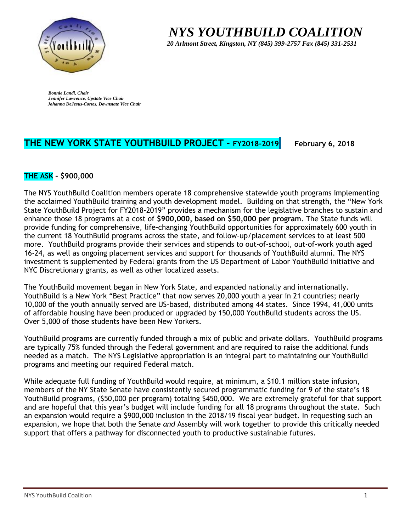

 *NYS YOUTHBUILD COALITION*

 *20 Arlmont Street, Kingston, NY (845) 399-2757 Fax (845) 331-2531* 

*Bonnie Landi, Chair Jennifer Lawrence, Upstate Vice Chair Johanna DeJesus-Cortes, Downstate Vice Chair*

# **THE NEW YORK STATE YOUTHBUILD PROJECT – FY2018-2019 February 6, 2018**

### **THE ASK – \$900,000**

The NYS YouthBuild Coalition members operate 18 comprehensive statewide youth programs implementing the acclaimed YouthBuild training and youth development model. Building on that strength, the "New York State YouthBuild Project for FY2018-2019" provides a mechanism for the legislative branches to sustain and enhance those 18 programs at a cost of **\$900,000, based on \$50,000 per program**. The State funds will provide funding for comprehensive, life-changing YouthBuild opportunities for approximately 600 youth in the current 18 YouthBuild programs across the state, and follow-up/placement services to at least 500 more. YouthBuild programs provide their services and stipends to out-of-school, out-of-work youth aged 16-24, as well as ongoing placement services and support for thousands of YouthBuild alumni. The NYS investment is supplemented by Federal grants from the US Department of Labor YouthBuild initiative and NYC Discretionary grants, as well as other localized assets.

The YouthBuild movement began in New York State, and expanded nationally and internationally. YouthBuild is a New York "Best Practice" that now serves 20,000 youth a year in 21 countries; nearly 10,000 of the youth annually served are US-based, distributed among 44 states. Since 1994, 41,000 units of affordable housing have been produced or upgraded by 150,000 YouthBuild students across the US. Over 5,000 of those students have been New Yorkers.

YouthBuild programs are currently funded through a mix of public and private dollars. YouthBuild programs are typically 75% funded through the Federal government and are required to raise the additional funds needed as a match. The NYS Legislative appropriation is an integral part to maintaining our YouthBuild programs and meeting our required Federal match.

While adequate full funding of YouthBuild would require, at minimum, a \$10.1 million state infusion, members of the NY State Senate have consistently secured programmatic funding for 9 of the state's 18 YouthBuild programs, (\$50,000 per program) totaling \$450,000. We are extremely grateful for that support and are hopeful that this year's budget will include funding for all 18 programs throughout the state. Such an expansion would require a \$900,000 inclusion in the 2018/19 fiscal year budget. In requesting such an expansion, we hope that both the Senate *and* Assembly will work together to provide this critically needed support that offers a pathway for disconnected youth to productive sustainable futures.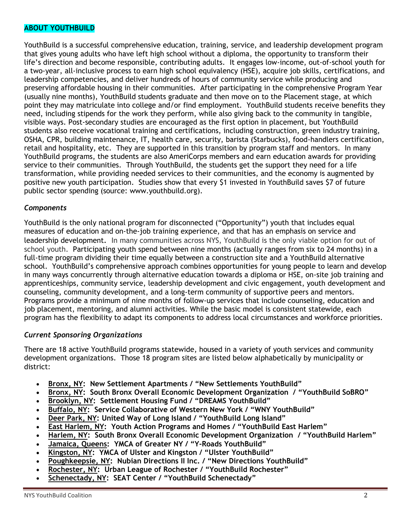#### **ABOUT YOUTHBUILD**

YouthBuild is a successful comprehensive education, training, service, and leadership development program that gives young adults who have left high school without a diploma, the opportunity to transform their life's direction and become responsible, contributing adults. It engages low-income, out-of-school youth for a two-year, all-inclusive process to earn high school equivalency (HSE), acquire job skills, certifications, and leadership competencies, and deliver hundreds of hours of community service while producing and preserving affordable housing in their communities. After participating in the comprehensive Program Year (usually nine months), YouthBuild students graduate and then move on to the Placement stage, at which point they may matriculate into college and/or find employment. YouthBuild students receive benefits they need, including stipends for the work they perform, while also giving back to the community in tangible, visible ways. Post-secondary studies are encouraged as the first option in placement, but YouthBuild students also receive vocational training and certifications, including construction, green industry training, OSHA, CPR, building maintenance, IT, health care, security, barista (Starbucks), food-handlers certification, retail and hospitality, etc. They are supported in this transition by program staff and mentors. In many YouthBuild programs, the students are also AmeriCorps members and earn education awards for providing service to their communities. Through YouthBuild, the students get the support they need for a life transformation, while providing needed services to their communities, and the economy is augmented by positive new youth participation. Studies show that every \$1 invested in YouthBuild saves \$7 of future public sector spending (source: www.youthbuild.org).

#### *Components*

YouthBuild is the only national program for disconnected ("Opportunity") youth that includes equal measures of education and on-the-job training experience, and that has an emphasis on service and leadership development. In many communities across NYS, YouthBuild is the only viable option for out of school youth. Participating youth spend between nine months (actually ranges from six to 24 months) in a full-time program dividing their time equally between a construction site and a YouthBuild alternative school. YouthBuild's comprehensive approach combines opportunities for young people to learn and develop in many ways concurrently through alternative education towards a diploma or HSE, on-site job training and apprenticeships, community service, leadership development and civic engagement, youth development and counseling, community development, and a long-term community of supportive peers and mentors. Programs provide a minimum of nine months of follow-up services that include counseling, education and job placement, mentoring, and alumni activities. While the basic model is consistent statewide, each program has the flexibility to adapt its components to address local circumstances and workforce priorities.

#### *Current Sponsoring Organizations*

There are 18 active YouthBuild programs statewide, housed in a variety of youth services and community development organizations. Those 18 program sites are listed below alphabetically by municipality or district:

- **Bronx, NY: New Settlement Apartments / "New Settlements YouthBuild"**
- **Bronx, NY: South Bronx Overall Economic Development Organization / "YouthBuild SoBRO"**
- **Brooklyn, NY: Settlement Housing Fund / "DREAMS YouthBuild"**
- **Buffalo, NY: Service Collaborative of Western New York / "WNY YouthBuild"**
- **Deer Park, NY: United Way of Long Island / "YouthBuild Long Island"**
- **East Harlem, NY: Youth Action Programs and Homes / "YouthBuild East Harlem"**
- **Harlem, NY: South Bronx Overall Economic Development Organization / "YouthBuild Harlem"**
- **Jamaica, Queens: YMCA of Greater NY / "Y-Roads YouthBuild"**
- **Kingston, NY: YMCA of Ulster and Kingston / "Ulster YouthBuild"**
- **Poughkeepsie, NY: Nubian Directions II Inc. / "New Directions YouthBuild"**
- **Rochester, NY: Urban League of Rochester / "YouthBuild Rochester"**
- **Schenectady, NY: SEAT Center / "YouthBuild Schenectady"**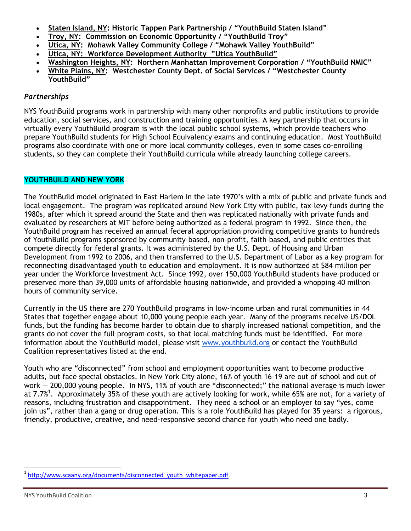- **Staten Island, NY: Historic Tappen Park Partnership / "YouthBuild Staten Island"**
- **Troy, NY: Commission on Economic Opportunity / "YouthBuild Troy"**
- **Utica, NY: Mohawk Valley Community College / "Mohawk Valley YouthBuild"**
- **Utica, NY: Workforce Development Authority "Utica YouthBuild"**
- **Washington Heights, NY: Northern Manhattan Improvement Corporation / "YouthBuild NMIC"**
- **White Plains, NY: Westchester County Dept. of Social Services / "Westchester County YouthBuild"**

#### *Partnerships*

NYS YouthBuild programs work in partnership with many other nonprofits and public institutions to provide education, social services, and construction and training opportunities. A key partnership that occurs in virtually every YouthBuild program is with the local public school systems, which provide teachers who prepare YouthBuild students for High School Equivalency exams and continuing education. Most YouthBuild programs also coordinate with one or more local community colleges, even in some cases co-enrolling students, so they can complete their YouthBuild curricula while already launching college careers.

#### **YOUTHBUILD AND NEW YORK**

The YouthBuild model originated in East Harlem in the late 1970's with a mix of public and private funds and local engagement. The program was replicated around New York City with public, tax-levy funds during the 1980s, after which it spread around the State and then was replicated nationally with private funds and evaluated by researchers at MIT before being authorized as a federal program in 1992. Since then, the YouthBuild program has received an annual federal appropriation providing competitive grants to hundreds of YouthBuild programs sponsored by community-based, non-profit, faith-based, and public entities that compete directly for federal grants. It was administered by the U.S. Dept. of Housing and Urban Development from 1992 to 2006, and then transferred to the U.S. Department of Labor as a key program for reconnecting disadvantaged youth to education and employment. It is now authorized at \$84 million per year under the Workforce Investment Act. Since 1992, over 150,000 YouthBuild students have produced or preserved more than 39,000 units of affordable housing nationwide, and provided a whopping 40 million hours of community service.

Currently in the US there are 270 YouthBuild programs in low-income urban and rural communities in 44 States that together engage about 10,000 young people each year. Many of the programs receive US/DOL funds, but the funding has become harder to obtain due to sharply increased national competition, and the grants do not cover the full program costs, so that local matching funds must be identified. For more information about the YouthBuild model, please visit [www.youthbuild.org](http://www.youthbuild.org/) or contact the YouthBuild Coalition representatives listed at the end.

Youth who are "disconnected" from school and employment opportunities want to become productive adults, but face special obstacles. In New York City alone, 16% of youth 16-19 are out of school and out of work — 200,000 young people. In NYS, 11% of youth are "disconnected;" the national average is much lower at [7.7%](http://www.scaany.org/documents/disconnected_youth_whitepaper.pdf)<sup>1</sup>. Approximately 35% of these youth are actively looking for work, while 65% are not, for a variety of reasons, including frustration and disappointment. They need a school or an employer to say "yes, come join us", rather than a gang or drug operation. This is a role YouthBuild has played for 35 years: a rigorous, friendly, productive, creative, and need-responsive second chance for youth who need one badly.

 $\overline{a}$ 

<sup>&</sup>lt;sup>1</sup> [http://www.scaany.org/documents/disconnected\\_youth\\_whitepaper.pdf](http://www.scaany.org/documents/disconnected_youth_whitepaper.pdf)